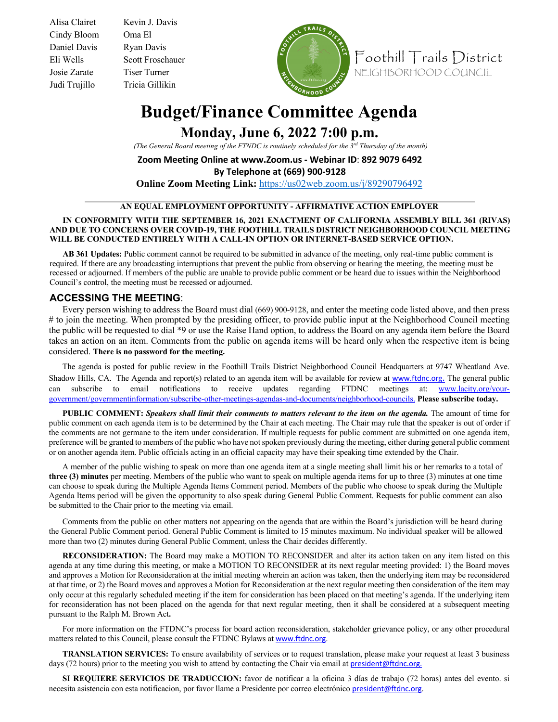Cindy Bloom Oma El Daniel Davis Ryan Davis Josie Zarate Tiser Turner Judi Trujillo Tricia Gillikin

Alisa Clairet Kevin J. Davis Eli Wells Scott Froschauer



Foothill Trails District NEIGHBORHOOD COUNCIL

## **Budget/Finance Committee Agenda**

**Monday, June 6, 2022 7:00 p.m.**

*(The General Board meeting of the FTNDC is routinely scheduled for the 3rd Thursday of the month)* 

**Zoom Meeting Online at www.Zoom.us - Webinar ID**: **892 9079 6492**

**By Telephone at (669) 900-9128**

**Online Zoom Meeting Link:** https://us02web.zoom.us/j/89290796492

## **AN EQUAL EMPLOYMENT OPPORTUNITY - AFFIRMATIVE ACTION EMPLOYER**

## **IN CONFORMITY WITH THE SEPTEMBER 16, 2021 ENACTMENT OF CALIFORNIA ASSEMBLY BILL 361 (RIVAS) AND DUE TO CONCERNS OVER COVID-19, THE FOOTHILL TRAILS DISTRICT NEIGHBORHOOD COUNCIL MEETING WILL BE CONDUCTED ENTIRELY WITH A CALL-IN OPTION OR INTERNET-BASED SERVICE OPTION.**

**AB 361 Updates:** Public comment cannot be required to be submitted in advance of the meeting, only real-time public comment is required. If there are any broadcasting interruptions that prevent the public from observing or hearing the meeting, the meeting must be recessed or adjourned. If members of the public are unable to provide public comment or be heard due to issues within the Neighborhood Council's control, the meeting must be recessed or adjourned.

## **ACCESSING THE MEETING**:

Every person wishing to address the Board must dial (669) 900-9128, and enter the meeting code listed above, and then press # to join the meeting. When prompted by the presiding officer, to provide public input at the Neighborhood Council meeting the public will be requested to dial \*9 or use the Raise Hand option, to address the Board on any agenda item before the Board takes an action on an item. Comments from the public on agenda items will be heard only when the respective item is being considered. **There is no password for the meeting.**

The agenda is posted for public review in the Foothill Trails District Neighborhood Council Headquarters at 9747 Wheatland Ave. Shadow Hills, CA. The Agenda and report(s) related to an agenda item will be available for review at www.ftdnc.org. The general public can subscribe to email notifications to receive updates regarding FTDNC meetings at: www.lacity.org/yourgovernment/governmentinformation/subscribe-other-meetings-agendas-and-documents/neighborhood-councils. **Please subscribe today.** 

**PUBLIC COMMENT:** *Speakers shall limit their comments to matters relevant to the item on the agenda.* The amount of time for public comment on each agenda item is to be determined by the Chair at each meeting. The Chair may rule that the speaker is out of order if the comments are not germane to the item under consideration. If multiple requests for public comment are submitted on one agenda item, preference will be granted to members of the public who have not spoken previously during the meeting, either during general public comment or on another agenda item. Public officials acting in an official capacity may have their speaking time extended by the Chair.

A member of the public wishing to speak on more than one agenda item at a single meeting shall limit his or her remarks to a total of **three (3) minutes** per meeting. Members of the public who want to speak on multiple agenda items for up to three (3) minutes at one time can choose to speak during the Multiple Agenda Items Comment period. Members of the public who choose to speak during the Multiple Agenda Items period will be given the opportunity to also speak during General Public Comment. Requests for public comment can also be submitted to the Chair prior to the meeting via email.

Comments from the public on other matters not appearing on the agenda that are within the Board's jurisdiction will be heard during the General Public Comment period. General Public Comment is limited to 15 minutes maximum. No individual speaker will be allowed more than two (2) minutes during General Public Comment, unless the Chair decides differently.

**RECONSIDERATION:** The Board may make a MOTION TO RECONSIDER and alter its action taken on any item listed on this agenda at any time during this meeting, or make a MOTION TO RECONSIDER at its next regular meeting provided: 1) the Board moves and approves a Motion for Reconsideration at the initial meeting wherein an action was taken, then the underlying item may be reconsidered at that time, or 2) the Board moves and approves a Motion for Reconsideration at the next regular meeting then consideration of the item may only occur at this regularly scheduled meeting if the item for consideration has been placed on that meeting's agenda. If the underlying item for reconsideration has not been placed on the agenda for that next regular meeting, then it shall be considered at a subsequent meeting pursuant to the Ralph M. Brown Act**.** 

For more information on the FTDNC's process for board action reconsideration, stakeholder grievance policy, or any other procedural matters related to this Council, please consult the FTDNC Bylaws at www.ftdnc.org.

**TRANSLATION SERVICES:** To ensure availability of services or to request translation, please make your request at least 3 business days (72 hours) prior to the meeting you wish to attend by contacting the Chair via email at president@ftdnc.org.

**SI REQUIERE SERVICIOS DE TRADUCCION:** favor de notificar a la oficina 3 días de trabajo (72 horas) antes del evento. si necesita asistencia con esta notificacion, por favor llame a Presidente por correo electrónico president@ftdnc.org.